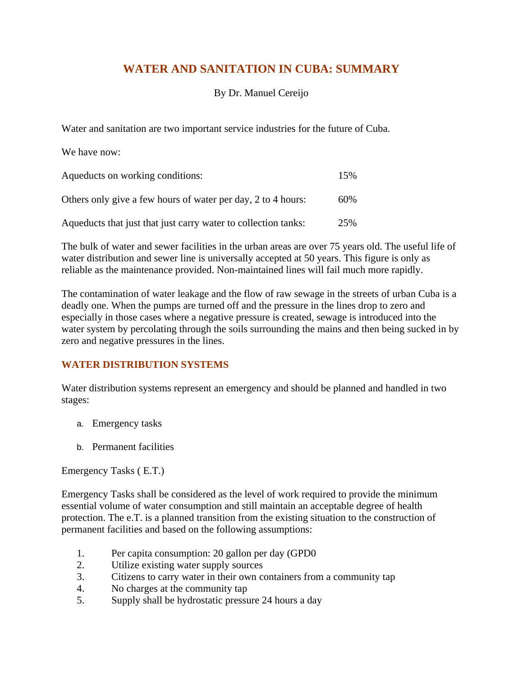# **WATER AND SANITATION IN CUBA: SUMMARY**

## By Dr. Manuel Cereijo

Water and sanitation are two important service industries for the future of Cuba.

| We have now:                                                   |     |
|----------------------------------------------------------------|-----|
| Aqueducts on working conditions:                               | 15% |
| Others only give a few hours of water per day, 2 to 4 hours:   | 60% |
| Aqueducts that just that just carry water to collection tanks: | 25% |

The bulk of water and sewer facilities in the urban areas are over 75 years old. The useful life of water distribution and sewer line is universally accepted at 50 years. This figure is only as reliable as the maintenance provided. Non-maintained lines will fail much more rapidly.

The contamination of water leakage and the flow of raw sewage in the streets of urban Cuba is a deadly one. When the pumps are turned off and the pressure in the lines drop to zero and especially in those cases where a negative pressure is created, sewage is introduced into the water system by percolating through the soils surrounding the mains and then being sucked in by zero and negative pressures in the lines.

# **WATER DISTRIBUTION SYSTEMS**

Water distribution systems represent an emergency and should be planned and handled in two stages:

- a. Emergency tasks
- b. Permanent facilities

Emergency Tasks ( E.T.)

Emergency Tasks shall be considered as the level of work required to provide the minimum essential volume of water consumption and still maintain an acceptable degree of health protection. The e.T. is a planned transition from the existing situation to the construction of permanent facilities and based on the following assumptions:

- 1. Per capita consumption: 20 gallon per day (GPD0
- 2. Utilize existing water supply sources
- 3. Citizens to carry water in their own containers from a community tap
- 4. No charges at the community tap
- 5. Supply shall be hydrostatic pressure 24 hours a day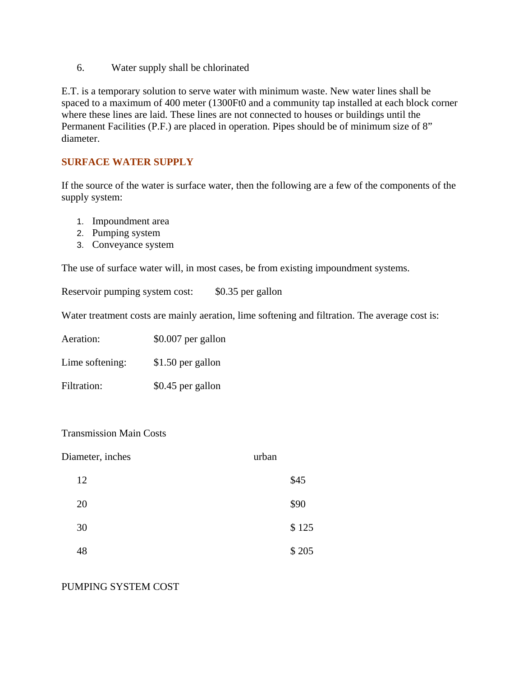6. Water supply shall be chlorinated

E.T. is a temporary solution to serve water with minimum waste. New water lines shall be spaced to a maximum of 400 meter (1300Ft0 and a community tap installed at each block corner where these lines are laid. These lines are not connected to houses or buildings until the Permanent Facilities (P.F.) are placed in operation. Pipes should be of minimum size of 8" diameter.

### **SURFACE WATER SUPPLY**

If the source of the water is surface water, then the following are a few of the components of the supply system:

- 1. Impoundment area
- 2. Pumping system
- 3. Conveyance system

The use of surface water will, in most cases, be from existing impoundment systems.

Reservoir pumping system cost: \$0.35 per gallon

Water treatment costs are mainly aeration, lime softening and filtration. The average cost is:

| Aeration:       | \$0.007 per gallon |
|-----------------|--------------------|
| Lime softening: | \$1.50 per gallon  |
| Filtration:     | \$0.45 per gallon  |

#### Transmission Main Costs

| Diameter, inches | urban |
|------------------|-------|
| 12               | \$45  |
| 20               | \$90  |
| 30               | \$125 |
| 48               | \$205 |

#### PUMPING SYSTEM COST